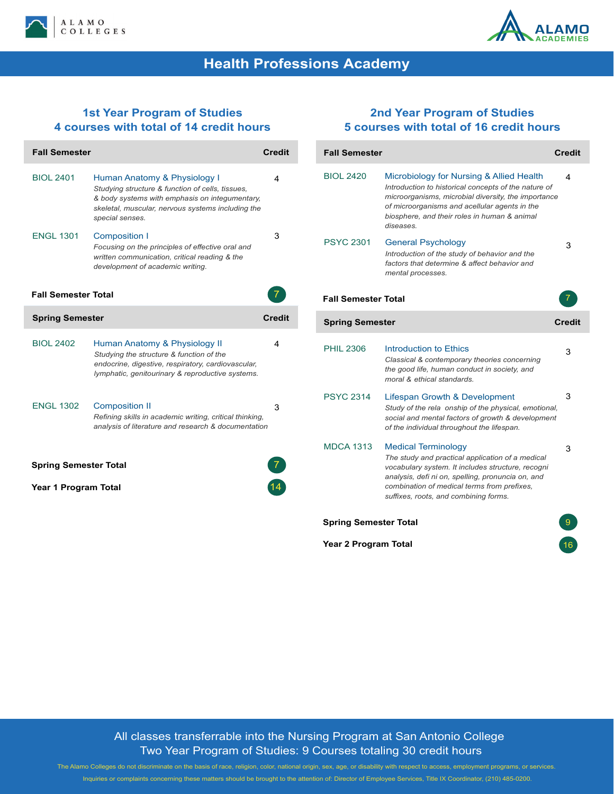



# **Health Professions Academy**

#### **1st Year Program of Studies 4 courses with total of 14 credit hours**

| <b>Fall Semester</b>         |                                                                                                                                                                                                            | <b>Credit</b> |  |
|------------------------------|------------------------------------------------------------------------------------------------------------------------------------------------------------------------------------------------------------|---------------|--|
| <b>BIOL 2401</b>             | Human Anatomy & Physiology I<br>Studying structure & function of cells, tissues,<br>& body systems with emphasis on intequmentary.<br>skeletal, muscular, nervous systems including the<br>special senses. | 4             |  |
| <b>ENGL 1301</b>             | <b>Composition I</b><br>Focusing on the principles of effective oral and<br>written communication, critical reading & the<br>development of academic writing.                                              | 3             |  |
| <b>Fall Semester Total</b>   |                                                                                                                                                                                                            |               |  |
| <b>Spring Semester</b>       |                                                                                                                                                                                                            | Credit        |  |
| <b>BIOL 2402</b>             | Human Anatomy & Physiology II<br>Studying the structure & function of the<br>endocrine, digestive, respiratory, cardiovascular,<br>lymphatic, genitourinary & reproductive systems.                        | 4             |  |
| <b>ENGL 1302</b>             | <b>Composition II</b><br>Refining skills in academic writing, critical thinking,<br>analysis of literature and research & documentation                                                                    | 3             |  |
| <b>Spring Semester Total</b> |                                                                                                                                                                                                            |               |  |
| Year 1 Program Total         |                                                                                                                                                                                                            |               |  |

### **2nd Year Program of Studies 5 courses with total of 16 credit hours**

| <b>Fall Semester</b>         |                                                                                                                                                                                                                                                                                  | <b>Credit</b> |
|------------------------------|----------------------------------------------------------------------------------------------------------------------------------------------------------------------------------------------------------------------------------------------------------------------------------|---------------|
| <b>BIOL 2420</b>             | Microbiology for Nursing & Allied Health<br>Introduction to historical concepts of the nature of<br>microorganisms, microbial diversity, the importance<br>of microorganisms and acellular agents in the<br>biosphere, and their roles in human & animal<br>diseases.            | 4             |
| <b>PSYC 2301</b>             | <b>General Psychology</b><br>Introduction of the study of behavior and the<br>factors that determine & affect behavior and<br>mental processes.                                                                                                                                  | 3             |
| <b>Fall Semester Total</b>   |                                                                                                                                                                                                                                                                                  | 7             |
| <b>Spring Semester</b>       |                                                                                                                                                                                                                                                                                  | Credit        |
| <b>PHIL 2306</b>             | Introduction to Ethics<br>Classical & contemporary theories concerning<br>the good life, human conduct in society, and<br>moral & ethical standards.                                                                                                                             | 3             |
| <b>PSYC 2314</b>             | Lifespan Growth & Development<br>Study of the rela onship of the physical, emotional,<br>social and mental factors of growth & development<br>of the individual throughout the lifespan.                                                                                         | 3             |
| <b>MDCA 1313</b>             | <b>Medical Terminology</b><br>The study and practical application of a medical<br>vocabulary system. It includes structure, recogni<br>analysis, defi ni on, spelling, pronuncia on, and<br>combination of medical terms from prefixes.<br>suffixes, roots, and combining forms. | 3             |
| <b>Spring Semester Total</b> |                                                                                                                                                                                                                                                                                  |               |
| Year 2 Program Total         |                                                                                                                                                                                                                                                                                  |               |

### All classes transferrable into the Nursing Program at San Antonio College Two Year Program of Studies: 9 Courses totaling 30 credit hours

The Alamo Colleges do not discriminate on the basis of race, religion, color, national origin, sex, age, or disability with respect to access, employment programs, or services. Inquiries or complaints concerning these matters should be brought to the attention of: Director of Employee Services, Title IX Coordinator, (210) 485-0200.